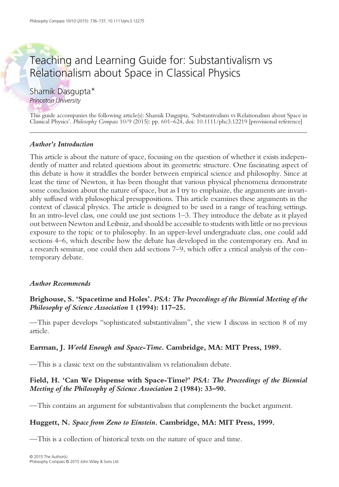# Teaching and Learning Guide for: Substantivalism vs Relationalism about Space in Classical Physics

Shamik Dasgupta\*

Princeton University

This guide accompanies the following article(s): Shamik Dasgupta, 'Substantivalism vs Relationalism about Space in Classical Physics'. Philosophy Compass 10/9 (2015): pp. 601–624, doi: 10.1111/phc3.12219 [provisional reference]

## Author's Introduction

This article is about the nature of space, focusing on the question of whether it exists independently of matter and related questions about its geometric structure. One fascinating aspect of this debate is how it straddles the border between empirical science and philosophy. Since at least the time of Newton, it has been thought that various physical phenomena demonstrate some conclusion about the nature of space, but as I try to emphasize, the arguments are invariably suffused with philosophical presuppositions. This article examines these arguments in the context of classical physics. The article is designed to be used in a range of teaching settings. In an intro-level class, one could use just sections 1–3. They introduce the debate as it played out between Newton and Leibniz, and should be accessible to students with little or no previous exposure to the topic or to philosophy. In an upper-level undergraduate class, one could add sections 4–6, which describe how the debate has developed in the contemporary era. And in a research seminar, one could then add sections 7–9, which offer a critical analysis of the contemporary debate.

#### Author Recommends

## Brighouse, S. 'Spacetime and Holes'. PSA: The Proceedings of the Biennial Meeting of the Philosophy of Science Association 1 (1994): 117–25.

—This paper develops "sophisticated substantivalism", the view I discuss in section 8 of my article.

#### Earman, J. World Enough and Space-Time. Cambridge, MA: MIT Press, 1989.

—This is a classic text on the substantivalism vs relationalism debate.

# Field, H. 'Can We Dispense with Space-Time?' PSA: The Proceedings of the Biennial Meeting of the Philosophy of Science Association 2 (1984): 33–90.

—This contains an argument for substantivalism that complements the bucket argument.

# Huggett, N. Space from Zeno to Einstein. Cambridge, MA: MIT Press, 1999.

—This is a collection of historical texts on the nature of space and time.